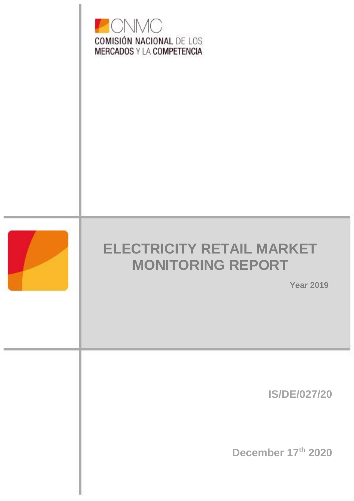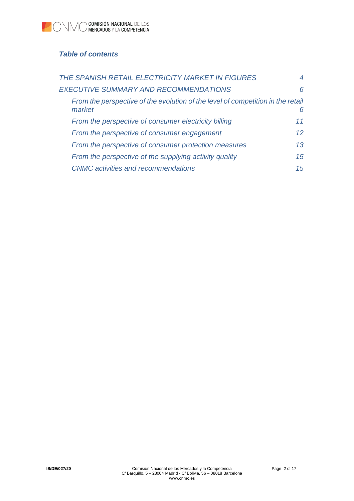# *Table of contents*

| THE SPANISH RETAIL ELECTRICITY MARKET IN FIGURES                                          |                 |
|-------------------------------------------------------------------------------------------|-----------------|
| EXECUTIVE SUMMARY AND RECOMMENDATIONS                                                     | 6               |
| From the perspective of the evolution of the level of competition in the retail<br>market | 6               |
| From the perspective of consumer electricity billing                                      | 11              |
| From the perspective of consumer engagement                                               | 12 <sup>°</sup> |
| From the perspective of consumer protection measures                                      | 13              |
| From the perspective of the supplying activity quality                                    | 15              |
| <b>CNMC</b> activities and recommendations                                                | 15              |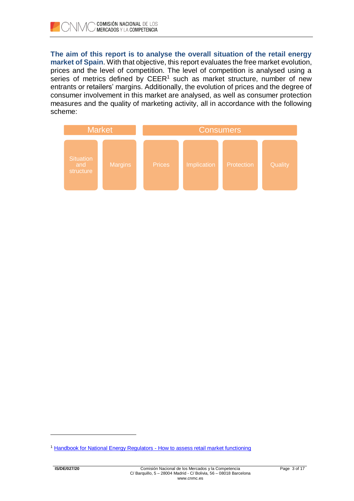**The aim of this report is to analyse the overall situation of the retail energy market of Spain**. With that objective, this report evaluates the free market evolution, prices and the level of competition. The level of competition is analysed using a series of metrics defined by  $CEER<sup>1</sup>$  such as market structure, number of new entrants or retailers' margins. Additionally, the evolution of prices and the degree of consumer involvement in this market are analysed, as well as consumer protection measures and the quality of marketing activity, all in accordance with the following scheme:



l

<sup>&</sup>lt;sup>1</sup> [Handbook for National Energy Regulators -](https://www.ceer.eu/documents/104400/-/-/840b4ce7-9e4a-5ecc-403a-fad85d6ba268) How to assess retail market functioning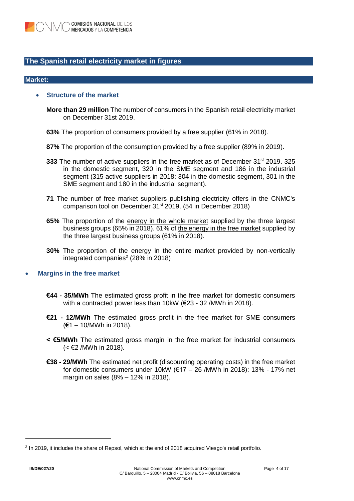## **The Spanish retail electricity market in figures**

#### **Market:**

### • **Structure of the market**

**More than 29 million** The number of consumers in the Spanish retail electricity market on December 31st 2019.

- **63%** The proportion of consumers provided by a free supplier (61% in 2018).
- **87%** The proportion of the consumption provided by a free supplier (89% in 2019).
- **333** The number of active suppliers in the free market as of December 31<sup>st</sup> 2019. 325 in the domestic segment, 320 in the SME segment and 186 in the industrial segment (315 active suppliers in 2018: 304 in the domestic segment, 301 in the SME segment and 180 in the industrial segment).
- **71** The number of free market suppliers publishing electricity offers in the CNMC's comparison tool on December 31<sup>st</sup> 2019. (54 in December 2018)
- **65%** The proportion of the energy in the whole market supplied by the three largest business groups (65% in 2018). 61% of the energy in the free market supplied by the three largest business groups (61% in 2018).
- **30%** The proportion of the energy in the entire market provided by non-vertically integrated companies<sup>2</sup> (28% in 2018)

## • **Margins in the free market**

- **€44 - 35/MWh** The estimated gross profit in the free market for domestic consumers with a contracted power less than 10kW (€23 - 32 /MWh in 2018).
- **€21 - 12/MWh** The estimated gross profit in the free market for SME consumers (€1 – 10/MWh in 2018).
- **< €5/MWh** The estimated gross margin in the free market for industrial consumers (< €2 /MWh in 2018).
- **€38 - 29/MWh** The estimated net profit (discounting operating costs) in the free market for domestic consumers under 10kW (€17 – 26 /MWh in 2018): 13% - 17% net margin on sales (8% – 12% in 2018).

l

<sup>&</sup>lt;sup>2</sup> In 2019, it includes the share of Repsol, which at the end of 2018 acquired Viesgo's retail portfolio.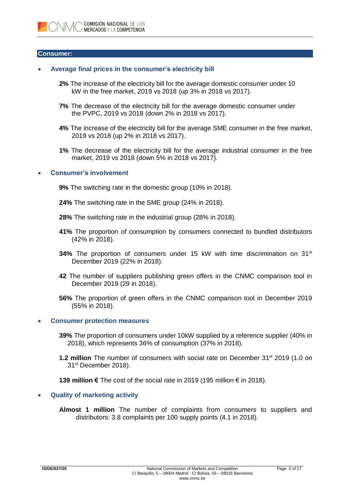#### **Consumer:**

## • **Average final prices in the consumer's electricity bill**

- **2%** The increase of the electricity bill for the average domestic consumer under 10 kW in the free market, 2019 vs 2018 (up 3% in 2018 vs 2017).
- **7%** The decrease of the electricity bill for the average domestic consumer under the PVPC, 2019 vs 2018 (down 2% in 2018 vs 2017).
- **4%** The increase of the electricity bill for the average SME consumer in the free market, 2019 vs 2018 (up 2% in 2018 vs 2017).
- **1%** The decrease of the electricity bill for the average industrial consumer in the free market, 2019 vs 2018 (down 5% in 2018 vs 2017).

### • **Consumer's involvement**

- **9%** The switching rate in the domestic group (10% in 2018).
- **24%** The switching rate in the SME group (24% in 2018).
- **28%** The switching rate in the industrial group (28% in 2018).
- **41%** The proportion of consumption by consumers connected to bundled distributors (42% in 2018).
- **34%** The proportion of consumers under 15 kW with time discrimination on 31st December 2019 (22% in 2018).
- **42** The number of suppliers publishing green offers in the CNMC comparison tool in December 2019 (29 in 2018).
- **56%** The proportion of green offers in the CNMC comparison tool in December 2019 (55% in 2018).

#### • **Consumer protection measures**

- **39%** The proportion of consumers under 10kW supplied by a reference supplier (40% in 2018), which represents 36% of consumption (37% in 2018).
- **1.2 million** The number of consumers with social rate on December 31<sup>st</sup> 2019 (1.0 on 31<sup>st</sup> December 2018).

**139 million €** The cost of the social rate in 2019 (195 million € in 2018).

### • **Quality of marketing activity**

**Almost 1 million** The number of complaints from consumers to suppliers and distributors: 3.8 complaints per 100 supply points (4.1 in 2018).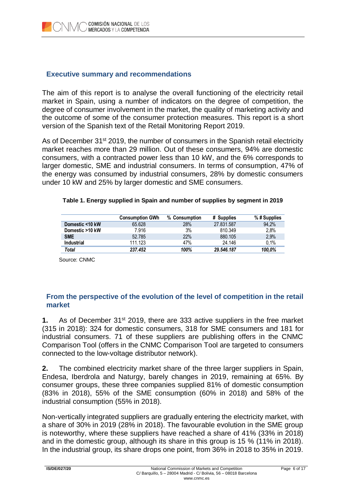## **Executive summary and recommendations**

The aim of this report is to analyse the overall functioning of the electricity retail market in Spain, using a number of indicators on the degree of competition, the degree of consumer involvement in the market, the quality of marketing activity and the outcome of some of the consumer protection measures. This report is a short version of the Spanish text of the Retail Monitoring Report 2019.

As of December 31<sup>st</sup> 2019, the number of consumers in the Spanish retail electricity market reaches more than 29 million. Out of these consumers, 94% are domestic consumers, with a contracted power less than 10 kW, and the 6% corresponds to larger domestic, SME and industrial consumers. In terms of consumption, 47% of the energy was consumed by industrial consumers, 28% by domestic consumers under 10 kW and 25% by larger domestic and SME consumers.

|                 | <b>Consumption GWh</b> | % Consumption | # Supplies | $%$ # Supplies |
|-----------------|------------------------|---------------|------------|----------------|
| Domestic <10 kW | 65.628                 | 28%           | 27.831.587 | 94.2%          |
| Domestic >10 kW | 7.916                  | 3%            | 810.349    | 2.8%           |
| <b>SME</b>      | 52.785                 | 22%           | 880.105    | 2,9%           |
| Industrial      | 111.123                | 47%           | 24.146     | 0.1%           |
| Total           | 237.452                | 100%          | 29.546.187 | 100.0%         |

### **Table 1. Energy supplied in Spain and number of supplies by segment in 2019**

Source: CNMC

## **From the perspective of the evolution of the level of competition in the retail market**

**1.** As of December 31<sup>st</sup> 2019, there are 333 active suppliers in the free market (315 in 2018): 324 for domestic consumers, 318 for SME consumers and 181 for industrial consumers. 71 of these suppliers are publishing offers in the CNMC Comparison Tool (offers in the CNMC Comparison Tool are targeted to consumers connected to the low-voltage distributor network).

**2.** The combined electricity market share of the three larger suppliers in Spain, Endesa, Iberdrola and Naturgy, barely changes in 2019, remaining at 65%. By consumer groups, these three companies supplied 81% of domestic consumption (83% in 2018), 55% of the SME consumption (60% in 2018) and 58% of the industrial consumption (55% in 2018).

Non-vertically integrated suppliers are gradually entering the electricity market, with a share of 30% in 2019 (28% in 2018). The favourable evolution in the SME group is noteworthy, where these suppliers have reached a share of 41% (33% in 2018) and in the domestic group, although its share in this group is 15 % (11% in 2018). In the industrial group, its share drops one point, from 36% in 2018 to 35% in 2019.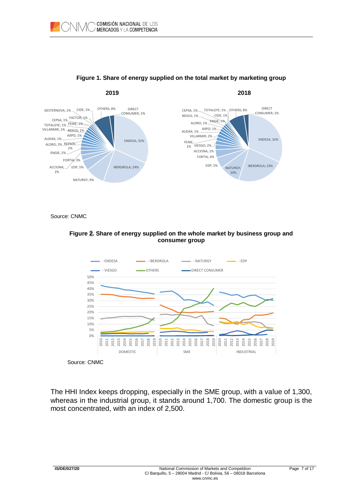

## **Figure 1. Share of energy supplied on the total market by marketing group**

Source: CNMC

## **Figure 2. Share of energy supplied on the whole market by business group and consumer group**



Source: CNMC

The HHI Index keeps dropping, especially in the SME group, with a value of 1,300, whereas in the industrial group, it stands around 1,700. The domestic group is the most concentrated, with an index of 2,500.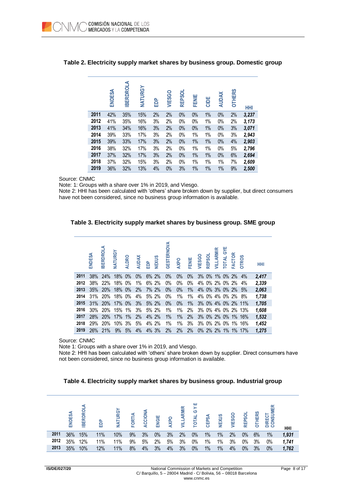|      | ENDESA | <b>IBERDROLA</b> | NATURGY | 음<br>대 | VIESGO | REPSOL | <b>FENIE</b> | CIDE  | <b>AUDAX</b> | OTHERS | HHI   |
|------|--------|------------------|---------|--------|--------|--------|--------------|-------|--------------|--------|-------|
| 2011 | 42%    | 35%              | 15%     | 2%     | 2%     | 0%     | $0\%$        | $1\%$ | 0%           | 2%     | 3,237 |
| 2012 | 41%    | 35%              | 16%     | 3%     | 2%     | 0%     | $0\%$        | 1%    | 0%           | 2%     | 3,173 |
| 2013 | 41%    | 34%              | 16%     | 3%     | 2%     | 0%     | 0%           | 1%    | 0%           | 3%     | 3,071 |
| 2014 | 39%    | 33%              | 17%     | 3%     | 2%     | 0%     | 1%           | 1%    | $0\%$        | 3%     | 2,943 |
| 2015 | 39%    | 33%              | 17%     | 3%     | 2%     | 0%     | $1\%$        | $1\%$ | 0%           | 4%     | 2,903 |
| 2016 | 38%    | 32%              | 17%     | 3%     | 2%     | 0%     | 1%           | 1%    | 0%           | 5%     | 2,796 |
| 2017 | 37%    | 32%              | 17%     | 3%     | 2%     | 0%     | $1\%$        | $1\%$ | 0%           | 6%     | 2,694 |
| 2018 | 37%    | 32%              | 15%     | 3%     | 2%     | 0%     | 1%           | 1%    | 1%           | 7%     | 2,609 |
| 2019 | 36%    | 32%              | 13%     | 4%     | 0%     | 3%     | 1%           | 1%    | $1\%$        | 9%     | 2,500 |

## **Table 2. Electricity supply market shares by business group. Domestic group**

Source: CNMC

Note: 1: Groups with a share over 1% in 2019, and Viesgo.

Note 2: HHI has been calculated with 'others' share broken down by supplier, but direct consumers have not been considered, since no business group information is available.



|      | ENDESA | <b>BERDROLA</b> | NATURGY | <b>ALDRO</b> | <b>AUDAX</b> | <b>B</b> | <b>NEXUS</b> | <b>GESTERNOVA</b> | <b>AXPO</b> | FENIE | VIESGO | REPSOL | VILLARMIR      | <b>GYE</b><br><b>TOTAL</b> | <b>FACTOR</b> | <b>OTROS</b>       | <b>HHI</b> |
|------|--------|-----------------|---------|--------------|--------------|----------|--------------|-------------------|-------------|-------|--------|--------|----------------|----------------------------|---------------|--------------------|------------|
| 2011 | 38%    | 24%             | 18% 0%  |              | 0%           |          | 6% 2%        | 0%                | 0%          | 0%    |        |        |                |                            |               | 3% 0% 1% 0% 2% 4%  | 2,417      |
| 2012 | 38%    | 22%             | 18% 0%  |              | 1%           |          | 6% 2%        | 0%                | $0\%$       | $0\%$ |        |        | 4% 0% 2% 0% 2% |                            |               | $4\%$              | 2,339      |
| 2013 |        | 35% 20%         | 18% 0%  |              | 2%           |          | 7% 2%        | $0\%$             | $0\%$       | 1%    |        |        |                |                            |               | 4% 0% 3% 0% 2% 5%  | 2,063      |
| 2014 | 31%    | <b>20%</b>      | 18% 0%  |              | 4%           |          | 5% 2%        | 0%                | 1%          | 1%    |        |        |                |                            |               | 4% 0% 4% 0% 2% 8%  | 1,738      |
| 2015 | 31%    | 20%             | 17% 0%  |              | 3%           |          | 5% 2%        | 0%                | $0\%$       | $1\%$ |        |        |                |                            |               | 3% 0% 4% 0% 2% 11% | 1,705      |
| 2016 | 30%    | 20%             | 15% 1%  |              | 3%           |          | 5% 2%        | 1%                | 1%          | 2%    |        |        |                |                            |               | 3% 0% 4% 0% 2% 13% | 1,608      |
| 2017 | 28%    | 20%             | 17%     | $1\%$        | 2%           |          | 4% 2%        | $1\%$             | 1%          | 2%    |        |        |                |                            |               | 3% 0% 2% 0% 1% 16% | 1,532      |
| 2018 | 29%    | <b>20%</b>      | 10% 3%  |              | 5%           |          | 4% 2%        | 1%                | 1%          | 3%    |        |        |                |                            |               | 3% 0% 2% 0% 1% 16% | 1,452      |
| 2019 |        | 26% 21%         | 9%      | 5%           | 4%           |          | 4% 3%        | 2%                | 2%          | 2%    |        |        |                |                            |               | 0% 2% 2% 1% 1% 17% | 1.275      |

Source: CNMC

Note 1: Groups with a share over 1% in 2019, and Viesgo.

Note 2: HHI has been calculated with 'others' share broken down by supplier. Direct consumers have not been considered, since no business group information is available.

| Table 4. Electricity supply market shares by business group. Industrial group |  |  |
|-------------------------------------------------------------------------------|--|--|
|                                                                               |  |  |

|      | ENDESA | ಠ<br>$\alpha$<br>R<br>ш<br>≘ | 휸   | NATURG | <b>FORTIA</b> | <b>ACCION</b> | ENGIE | <b>AXPO</b> | <b>ARMIR</b><br>-<br>₹ | ш<br>><br>ပ<br>TOTAL | ⋖<br>CEPS, | NEXUS | <b>VIESGO</b> | REPSOL | <b>OTHERS</b> | 핗<br>DIRECT<br>CONSUI | HHI   |
|------|--------|------------------------------|-----|--------|---------------|---------------|-------|-------------|------------------------|----------------------|------------|-------|---------------|--------|---------------|-----------------------|-------|
| 2011 | 36%    | 15%                          | 11% | 10%    | 9%            | 3%            | 0%    | 3%          | 2%                     | 0%                   | 1%         | $1\%$ | 2%            | 0%     | 6%            | 1%                    | 1,931 |
| 2012 | 35%    | 12%                          | 11% | 11%    | 9%            | 5%            | 2%    | 5%          | 3%                     | $0\%$                | 1%         | 1%    | 3%            | 0%     | 3%            | 0%                    | 1,741 |
| 2013 | 35%    | 10%                          | 12% | 11%    | 8%            | 4%            | 3%    | 4%          | 3%                     | 0%                   | $1\%$      | $1\%$ | 4%            | $0\%$  | 3%            | 0%                    | 1,762 |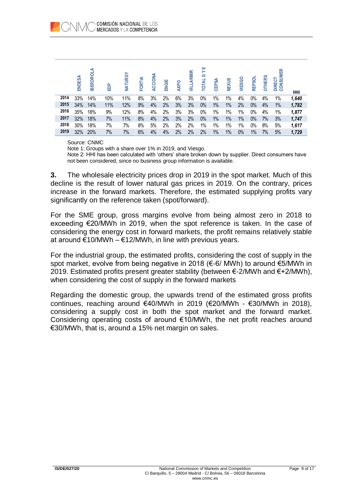|      | ENDESA | <b>IBERDROL</b> | ௨<br>ධි | NATURGY | ⋖<br>FORTI | ACCIONA | ENGIE | <b>AXPO</b> | <b>ARMIR</b><br>≣ | ш<br>><br>ဇ<br>₹<br>īот | <b>CEPSA</b> | NEXUS | <b>VIESGO</b> | <b>REPSOL</b> | <b>OTHERS</b> | ONSUMER<br>DIRECT | HHI   |
|------|--------|-----------------|---------|---------|------------|---------|-------|-------------|-------------------|-------------------------|--------------|-------|---------------|---------------|---------------|-------------------|-------|
| 2014 | 33%    | 14%             | 10%     | 11%     | 8%         | 3%      | 2%    | 6%          | 3%                | 0%                      | 1%           | 1%    | 4%            | $0\%$         | 4%            | 1%                | 1,640 |
| 2015 | 34%    | 14%             | 11%     | 12%     | 9%         | 4%      | 2%    | 3%          | 3%                | $0\%$                   | $1\%$        | $1\%$ | 2%            | 0%            | 4%            | $1\%$             | 1,782 |
| 2016 | 35%    | 18%             | 9%      | 12%     | 8%         | 4%      | 2%    | 3%          | 3%                | 0%                      | 1%           | $1\%$ | 1%            | $0\%$         | 4%            | 1%                | 1,877 |
| 2017 | 32%    | 18%             | 7%      | 11%     | 8%         | 4%      | 2%    | 3%          | 2%                | $0\%$                   | $1\%$        | $1\%$ | $1\%$         | 0%            | 7%            | 3%                | 1,747 |
| 2018 | 30%    | 18%             | 7%      | 7%      | 8%         | 5%      | 2%    | 2%          | 2%                | 1%                      | 1%           | 1%    | 1%            | $0\%$         | 8%            | 5%                | 1,617 |
| 2019 | 32%    | 20%             | 7%      | $7\%$   | 6%         | 4%      | 4%    | 2%          | 2%                | 2%                      | 1%           | $1\%$ | $0\%$         | 1%            | 7%            | 5%                | 1,729 |

Source: CNMC

Note 1: Groups with a share over 1% in 2019, and Viesgo.

Note 2: HHI has been calculated with 'others' share broken down by supplier. Direct consumers have not been considered, since no business group information is available.

**3.** The wholesale electricity prices drop in 2019 in the spot market. Much of this decline is the result of lower natural gas prices in 2019. On the contrary, prices increase in the forward markets. Therefore, the estimated supplying profits vary significantly on the reference taken (spot/forward).

For the SME group, gross margins evolve from being almost zero in 2018 to exceeding €20/MWh in 2019, when the spot reference is taken. In the case of considering the energy cost in forward markets, the profit remains relatively stable at around €10/MWh – €12/MWh, in line with previous years.

For the industrial group, the estimated profits, considering the cost of supply in the spot market, evolve from being negative in 2018 (€-6/ MWh) to around €5/MWh in 2019. Estimated profits present greater stability (between  $\epsilon$ -2/MWh and  $\epsilon$ +2/MWh), when considering the cost of supply in the forward markets

Regarding the domestic group, the upwards trend of the estimated gross profits continues, reaching around €40/MWh in 2019 (€20/MWh - €30/MWh in 2018). considering a supply cost in both the spot market and the forward market. Considering operating costs of around €10/MWh, the net profit reaches around €30/MWh, that is, around a 15% net margin on sales.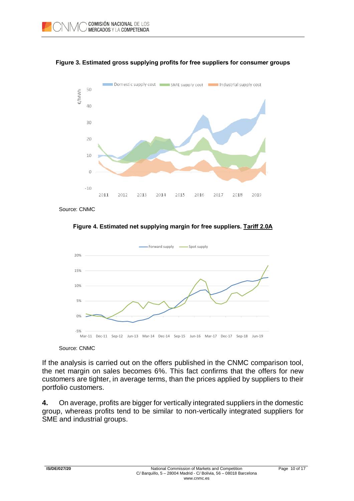



Source: CNMC





## Source: CNMC

If the analysis is carried out on the offers published in the CNMC comparison tool, the net margin on sales becomes 6%. This fact confirms that the offers for new customers are tighter, in average terms, than the prices applied by suppliers to their portfolio customers.

**4.** On average, profits are bigger for vertically integrated suppliers in the domestic group, whereas profits tend to be similar to non-vertically integrated suppliers for SME and industrial groups.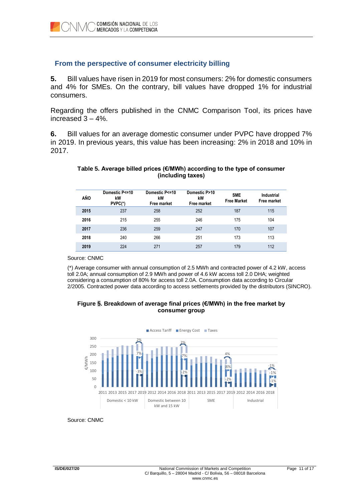## **From the perspective of consumer electricity billing**

**5.** Bill values have risen in 2019 for most consumers: 2% for domestic consumers and 4% for SMEs. On the contrary, bill values have dropped 1% for industrial consumers.

Regarding the offers published in the CNMC Comparison Tool, its prices have increased  $3 - 4\%$ .

**6.** Bill values for an average domestic consumer under PVPC have dropped 7% in 2019. In previous years, this value has been increasing: 2% in 2018 and 10% in 2017.

## **Table 5. Average billed prices (€/MWh) according to the type of consumer (including taxes)**

| AÑO  | Domestic P<=10<br>kW<br>PVPC(*) | Domestic P<=10<br>kW<br>Free market | Domestic P>10<br>kW<br><b>Free market</b> | <b>SME</b><br><b>Free Market</b> | <b>Industrial</b><br>Free market |
|------|---------------------------------|-------------------------------------|-------------------------------------------|----------------------------------|----------------------------------|
| 2015 | 237                             | 258                                 | 252                                       | 187                              | 115                              |
| 2016 | 215                             | 255                                 | 246                                       | 175                              | 104                              |
| 2017 | 236                             | 259                                 | 247                                       | 170                              | 107                              |
| 2018 | 240                             | 266                                 | 251                                       | 173                              | 113                              |
| 2019 | 224                             | 271                                 | 257                                       | 179                              | 112                              |

Source: CNMC

(\*) Average consumer with annual consumption of 2.5 MWh and contracted power of 4.2 kW, access toll 2.0A; annual consumption of 2.9 MWh and power of 4.6 kW access toll 2.0 DHA; weighted considering a consumption of 80% for access toll 2.0A. Consumption data according to Circular 2/2005. Contracted power data according to access settlements provided by the distributors (SINCRO).

## **Figure 5. Breakdown of average final prices (€/MWh) in the free market by consumer group**



Source: CNMC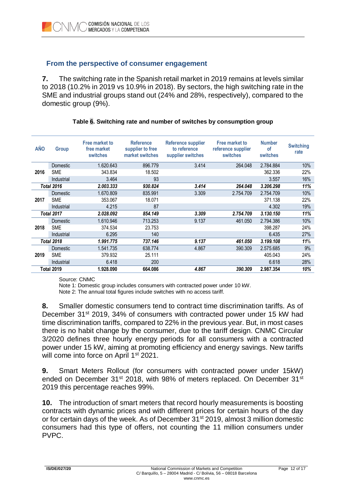## **From the perspective of consumer engagement**

**7.** The switching rate in the Spanish retail market in 2019 remains at levels similar to 2018 (10.2% in 2019 vs 10.9% in 2018). By sectors, the high switching rate in the SME and industrial groups stand out (24% and 28%, respectively), compared to the domestic group (9%).

| <b>AÑO</b> | Group             | Free market to<br>free market<br>switches | <b>Reference</b><br>supplier to free<br>market switches | <b>Reference supplier</b><br>to reference<br>supplier switches | <b>Free market to</b><br>reference supplier<br>switches | <b>Number</b><br>of<br>switches | <b>Switching</b><br>rate |
|------------|-------------------|-------------------------------------------|---------------------------------------------------------|----------------------------------------------------------------|---------------------------------------------------------|---------------------------------|--------------------------|
|            | <b>Domestic</b>   | 1.620.643                                 | 896.779                                                 | 3.414                                                          | 264.048                                                 | 2.784.884                       | 10%                      |
| 2016       | <b>SME</b>        | 343.834                                   | 18.502                                                  |                                                                |                                                         | 362.336                         | 22%                      |
|            | Industrial        | 3.464                                     | 93                                                      |                                                                |                                                         | 3.557                           | 16%                      |
|            | <b>Total 2016</b> | 2.003.333                                 | 930.824                                                 | 3.414                                                          | 264.048                                                 | 3.206.298                       | 11%                      |
|            | Domestic          | 1.670.809                                 | 835.991                                                 | 3.309                                                          | 2.754.709                                               | 2.754.709                       | 10%                      |
| 2017       | <b>SME</b>        | 353.067                                   | 18.071                                                  |                                                                |                                                         | 371.138                         | 22%                      |
|            | Industrial        | 4.215                                     | 87                                                      |                                                                |                                                         | 4.302                           | 19%                      |
|            | Total 2017        | 2.028.092                                 | 854.149                                                 | 3.309                                                          | 2.754.709                                               | 3.130.150                       | 11%                      |
|            | <b>Domestic</b>   | 1.610.946                                 | 713.253                                                 | 9.137                                                          | 461.050                                                 | 2.794.386                       | 10%                      |
| 2018       | <b>SME</b>        | 374.534                                   | 23.753                                                  |                                                                |                                                         | 398.287                         | 24%                      |
|            | Industrial        | 6.295                                     | 140                                                     |                                                                |                                                         | 6.435                           | 27%                      |
|            | <b>Total 2018</b> | 1.991.775                                 | 737.146                                                 | 9.137                                                          | 461.050                                                 | 3.199.108                       | 11%                      |
|            | Domestic          | 1.541.735                                 | 638.774                                                 | 4.867                                                          | 390.309                                                 | 2.575.685                       | 9%                       |
| 2019       | <b>SME</b>        | 379.932                                   | 25.111                                                  |                                                                |                                                         | 405.043                         | 24%                      |
|            | Industrial        | 6.418                                     | 200                                                     |                                                                |                                                         | 6.618                           | 28%                      |
|            | <b>Total 2019</b> | 1.928.090                                 | 664.086                                                 | 4.867                                                          | 390.309                                                 | 2.987.354                       | 10%                      |

## **Table 6. Switching rate and number of switches by consumption group**

Source: CNMC

Note 1: Domestic group includes consumers with contracted power under 10 kW.

Note 2: The annual total figures include switches with no access tariff.

**8.** Smaller domestic consumers tend to contract time discrimination tariffs. As of December 31<sup>st</sup> 2019, 34% of consumers with contracted power under 15 kW had time discrimination tariffs, compared to 22% in the previous year. But, in most cases there is no habit change by the consumer, due to the tariff design. CNMC Circular 3/2020 defines three hourly energy periods for all consumers with a contracted power under 15 kW, aiming at promoting efficiency and energy savings. New tariffs will come into force on April 1<sup>st</sup> 2021.

**9.** Smart Meters Rollout (for consumers with contracted power under 15kW) ended on December 31<sup>st</sup> 2018, with 98% of meters replaced. On December 31<sup>st</sup> 2019 this percentage reaches 99%.

**10.** The introduction of smart meters that record hourly measurements is boosting contracts with dynamic prices and with different prices for certain hours of the day or for certain days of the week. As of December 31<sup>st</sup> 2019, almost 3 million domestic consumers had this type of offers, not counting the 11 million consumers under PVPC.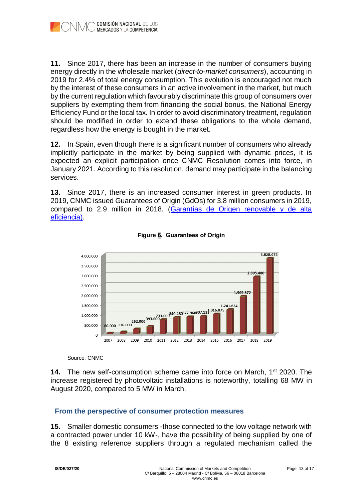**11.** Since 2017, there has been an increase in the number of consumers buying energy directly in the wholesale market (*direct-to-market consumers*), accounting in 2019 for 2.4% of total energy consumption. This evolution is encouraged not much by the interest of these consumers in an active involvement in the market, but much by the current regulation which favourably discriminate this group of consumers over suppliers by exempting them from financing the social bonus, the National Energy Efficiency Fund or the local tax. In order to avoid discriminatory treatment, regulation should be modified in order to extend these obligations to the whole demand, regardless how the energy is bought in the market.

**12.** In Spain, even though there is a significant number of consumers who already implicitly participate in the market by being supplied with dynamic prices, it is expected an explicit participation once CNMC Resolution comes into force, in January 2021. According to this resolution, demand may participate in the balancing services.

**13.** Since 2017, there is an increased consumer interest in green products. In 2019, CNMC issued Guarantees of Origin (GdOs) for 3.8 million consumers in 2019, compared to 2.9 million in 2018. [\(Garantías de Origen renovable y de alta](https://www.cnmc.es/expedientes/gdode00118)  [eficiencia\)](https://www.cnmc.es/expedientes/gdode00118).



**Figure 6. Guarantees of Origin**

Source: CNMC

**14.** The new self-consumption scheme came into force on March, 1<sup>st</sup> 2020. The increase registered by photovoltaic installations is noteworthy, totalling 68 MW in August 2020, compared to 5 MW in March.

# **From the perspective of consumer protection measures**

**15.** Smaller domestic consumers -those connected to the low voltage network with a contracted power under 10 kW-, have the possibility of being supplied by one of the 8 existing reference suppliers through a regulated mechanism called the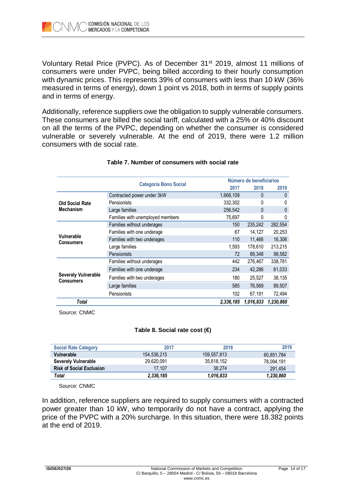

Voluntary Retail Price (PVPC). As of December 31<sup>st</sup> 2019, almost 11 millions of consumers were under PVPC, being billed according to their hourly consumption with dynamic prices. This represents 39% of consumers with less than 10 kW (36% measured in terms of energy), down 1 point vs 2018, both in terms of supply points and in terms of energy.

Additionally, reference suppliers owe the obligation to supply vulnerable consumers. These consumers are billed the social tariff, calculated with a 25% or 40% discount on all the terms of the PVPC, depending on whether the consumer is considered vulnerable or severely vulnerable. At the end of 2019, there were 1.2 million consumers with de social rate.

|                                                | <b>Categoría Bono Social</b>     |           | Número de beneficiarios |              |
|------------------------------------------------|----------------------------------|-----------|-------------------------|--------------|
|                                                |                                  | 2017      | 2018                    | 2019         |
|                                                | Contracted power under 3kW       | 1,668,109 | $\Omega$                | $\mathbf{0}$ |
| <b>Old Social Rate</b>                         | Pensionists                      | 332,302   | 0                       | 0            |
| <b>Mechanism</b>                               | Large families                   | 256,542   | 0                       | 0            |
|                                                | Families with unemployed members | 75,697    | 0                       | 0            |
|                                                | Families without underages       | 150       | 235,242                 | 282,554      |
|                                                | Families with one underage       | 67        | 14,127                  | 20,253       |
| Vulnerable<br>Consumers                        | Families with two underages      | 110       | 11,466                  | 16,306       |
|                                                | Large families                   | 1,593     | 178,610                 | 213,215      |
|                                                | Pensionists                      | 72        | 89,348                  | 98,582       |
|                                                | Families without underages       | 442       | 276,467                 | 338,781      |
|                                                | Families with one underage       | 234       | 42,286                  | 61,033       |
| <b>Severely Vulnerable</b><br><b>Consumers</b> | Families with two underages      | 180       | 25,527                  | 38,135       |
|                                                | Large families                   | 585       | 76,569                  | 89,507       |
|                                                | Pensionists                      | 102       | 67,191                  | 72,494       |
| <b>Total</b>                                   |                                  | 2,336,185 | 1,016,833               | 1,230,860    |

## **Table 7. Number of consumers with social rate**

Source: CNMC

## **Table 8. Social rate cost (€)**

| <b>Social Rate Category</b>     | 2017        | 2018        | 2019       |
|---------------------------------|-------------|-------------|------------|
| Vulnerable                      | 154.536.215 | 159.557.813 | 60,851,784 |
| <b>Severely Vulnerable</b>      | 29.620.091  | 35,618,152  | 78.094.191 |
| <b>Risk of Social Exclusion</b> | 17.107      | 38.274      | 291.454    |
| Total                           | 2,336,185   | 1.016.833   | 1,230,860  |

Source: CNMC

In addition, reference suppliers are required to supply consumers with a contracted power greater than 10 kW, who temporarily do not have a contract, applying the price of the PVPC with a 20% surcharge. In this situation, there were 18.382 points at the end of 2019.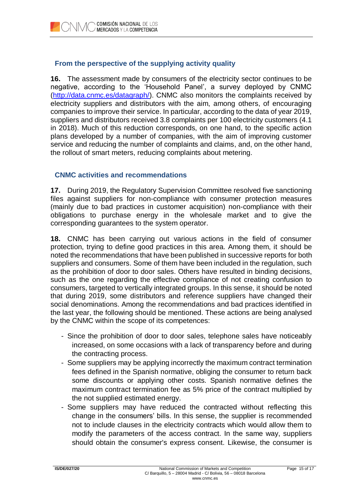# **From the perspective of the supplying activity quality**

**16.** The assessment made by consumers of the electricity sector continues to be negative, according to the 'Household Panel', a survey deployed by CNMC [\(http://data.cnmc.es/datagraph/\)](http://data.cnmc.es/datagraph/). CNMC also monitors the complaints received by electricity suppliers and distributors with the aim, among others, of encouraging companies to improve their service. In particular, according to the data of year 2019, suppliers and distributors received 3.8 complaints per 100 electricity customers (4.1 in 2018). Much of this reduction corresponds, on one hand, to the specific action plans developed by a number of companies, with the aim of improving customer service and reducing the number of complaints and claims, and, on the other hand, the rollout of smart meters, reducing complaints about metering.

# **CNMC activities and recommendations**

**17.** During 2019, the Regulatory Supervision Committee resolved five sanctioning files against suppliers for non-compliance with consumer protection measures (mainly due to bad practices in customer acquisition) non-compliance with their obligations to purchase energy in the wholesale market and to give the corresponding guarantees to the system operator.

**18.** CNMC has been carrying out various actions in the field of consumer protection, trying to define good practices in this area. Among them, it should be noted the recommendations that have been published in successive reports for both suppliers and consumers. Some of them have been included in the regulation, such as the prohibition of door to door sales. Others have resulted in binding decisions, such as the one regarding the effective compliance of not creating confusion to consumers, targeted to vertically integrated groups. In this sense, it should be noted that during 2019, some distributors and reference suppliers have changed their social denominations. Among the recommendations and bad practices identified in the last year, the following should be mentioned. These actions are being analysed by the CNMC within the scope of its competences:

- Since the prohibition of door to door sales, telephone sales have noticeably increased, on some occasions with a lack of transparency before and during the contracting process.
- Some suppliers may be applying incorrectly the maximum contract termination fees defined in the Spanish normative, obliging the consumer to return back some discounts or applying other costs. Spanish normative defines the maximum contract termination fee as 5% price of the contract multiplied by the not supplied estimated energy.
- Some suppliers may have reduced the contracted without reflecting this change in the consumers' bills. In this sense, the supplier is recommended not to include clauses in the electricity contracts which would allow them to modify the parameters of the access contract. In the same way, suppliers should obtain the consumer's express consent. Likewise, the consumer is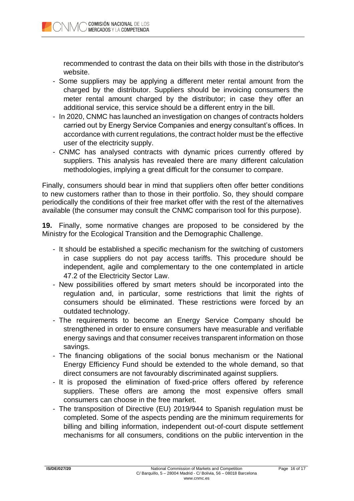recommended to contrast the data on their bills with those in the distributor's website.

- Some suppliers may be applying a different meter rental amount from the charged by the distributor. Suppliers should be invoicing consumers the meter rental amount charged by the distributor; in case they offer an additional service, this service should be a different entry in the bill.
- In 2020, CNMC has launched an investigation on changes of contracts holders carried out by Energy Service Companies and energy consultant's offices. In accordance with current regulations, the contract holder must be the effective user of the electricity supply.
- CNMC has analysed contracts with dynamic prices currently offered by suppliers. This analysis has revealed there are many different calculation methodologies, implying a great difficult for the consumer to compare.

Finally, consumers should bear in mind that suppliers often offer better conditions to new customers rather than to those in their portfolio. So, they should compare periodically the conditions of their free market offer with the rest of the alternatives available (the consumer may consult the CNMC comparison tool for this purpose).

**19.** Finally, some normative changes are proposed to be considered by the Ministry for the Ecological Transition and the Demographic Challenge.

- It should be established a specific mechanism for the switching of customers in case suppliers do not pay access tariffs. This procedure should be independent, agile and complementary to the one contemplated in article 47.2 of the Electricity Sector Law.
- New possibilities offered by smart meters should be incorporated into the regulation and, in particular, some restrictions that limit the rights of consumers should be eliminated. These restrictions were forced by an outdated technology.
- The requirements to become an Energy Service Company should be strengthened in order to ensure consumers have measurable and verifiable energy savings and that consumer receives transparent information on those savings.
- The financing obligations of the social bonus mechanism or the National Energy Efficiency Fund should be extended to the whole demand, so that direct consumers are not favourably discriminated against suppliers.
- It is proposed the elimination of fixed-price offers offered by reference suppliers. These offers are among the most expensive offers small consumers can choose in the free market.
- The transposition of Directive (EU) 2019/944 to Spanish regulation must be completed. Some of the aspects pending are the minimum requirements for billing and billing information, independent out-of-court dispute settlement mechanisms for all consumers, conditions on the public intervention in the